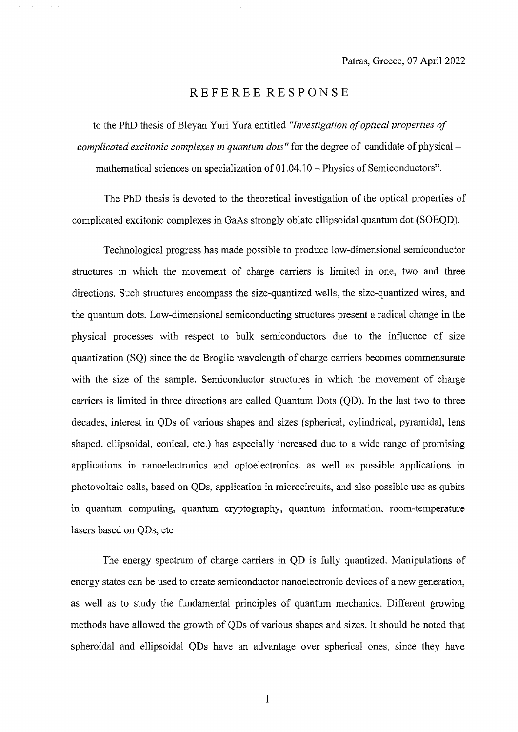## REFEREE RESPONSE

to the PhD thesis of Bleyan Yuri Yura entitled "*Investigation of optical properties of complicated excitonic complexes in quantum dots"* for the degree of candidate of physical – mathematical sciences on specialization of 01.04.10 - Physics of Semiconductors".

The PhD thesis is devoted to the theoretical investigation of the optical properties of complicated excitonic complexes in GaAs strongly oblate ellipsoidal quantum dot (SOEQD).

Technological progress has made possible to produce low-dimensional semiconductor structures in which the movement of charge carriers is limited in one, two and three directions. Such structures encompass the size-quantized wells, the size-quantized wires, and the quantum dots. Low-dimensional semiconducting structures present a radical change in the physical processes with respect to bulk semiconductors due to the influence of size quantization (SQ) since the de Broglie wavelength of charge carriers becomes commensurate with the size of the sample. Semiconductor structures in which the movement of charge carriers is limited in three directions are called Quantum Dots (QD). In the last two to three decades, interest in QDs of various shapes and sizes (spherical, cylindrical, pyramidal, lens shaped, ellipsoidal, conical, etc.) has especially increased due to a wide range of promising applications in nanoelectronics and optoelectronics, as well as possible applications in photovoltaic cells, based on QDs, application in microcircuits, and also possible use as qubits in quantum computing, quantum cryptography, quantum information, room-temperature lasers based on QDs, etc

The energy spectrum of charge carriers in QD is fully quantized. Manipulations of energy states can be used to create semiconductor nanoelectronic devices of a new generation, as well as to study the fundamental principles of quantum mechanics. Different growing methods have allowed the growth of QDs of various shapes and sizes. It should be noted that spheroidal and ellipsoidal QDs have an advantage over spherical ones, since they have

1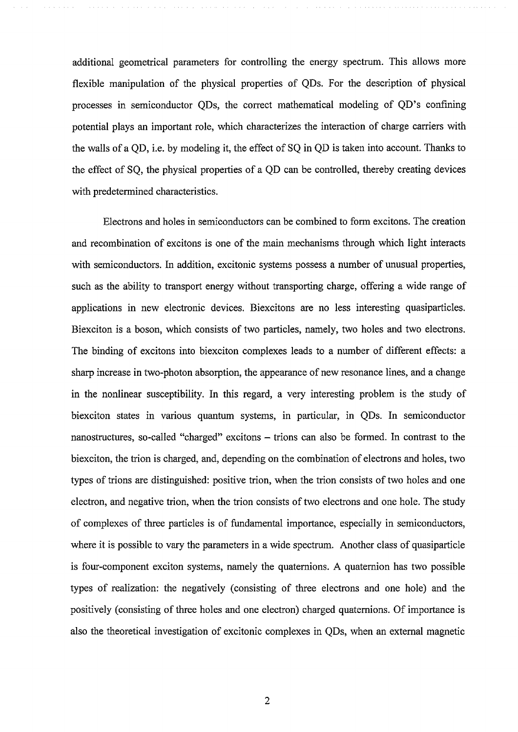additional geometrical parameters for controlling the energy spectrum. This allows more flexible manipulation of the physical properties of QDs. For the description of physical processes in semiconductor QDs, the correct mathematical modeling of QD's confining potential plays an important role, which characterizes the interaction of charge carriers with the walls of a QD, i.e. by modeling it, the effect of SQ in QD is taken into account. Thanks to the effect of SQ, the physical properties of a QD can be controlled, thereby creating devices with predetermined characteristics.

Electrons and holes in semiconductors can be combined to form excitons. The creation and recombination of excitons is one of the main mechanisms through which light interacts with semiconductors. In addition, excitonic systems possess a number of unusual properties, such as the ability to transport energy without transporting charge, offering a wide range of applications in new electronic devices. Biexcitons are no less interesting quasiparticles. Biexciton is a boson, which consists of two particles, namely, two holes and two electrons. The binding of excitons into biexciton complexes leads to a number of different effects: a sharp increase in two-photon absorption, the appearance of new resonance lines, and a change in the nonlinear susceptibility. In this regard, a very interesting problem is the study of biexciton states in various quantum systems, in particular, in QDs. In semiconductor nanostructures, so-called "charged" excitons – trions can also be formed. In contrast to the biexciton, the trion is charged, and, depending on the combination of electrons and holes, two types of trions are distinguished: positive trion, when the trion consists of two holes and one electron, and negative trion, when the trion consists of two electrons and one hole. The study of complexes of three particles is of fundamental importance, especially in semiconductors, where it is possible to vary the parameters in a wide spectrum. Another class of quasiparticle is four-component exciton systems, namely the quaternions. A quaternion has two possible types of realization: the negatively (consisting of three electrons and one hole) and the positively (consisting of three holes and one electron) charged quaternions. Of importance is also the theoretical investigation of excitonic complexes in QDs, when an external magnetic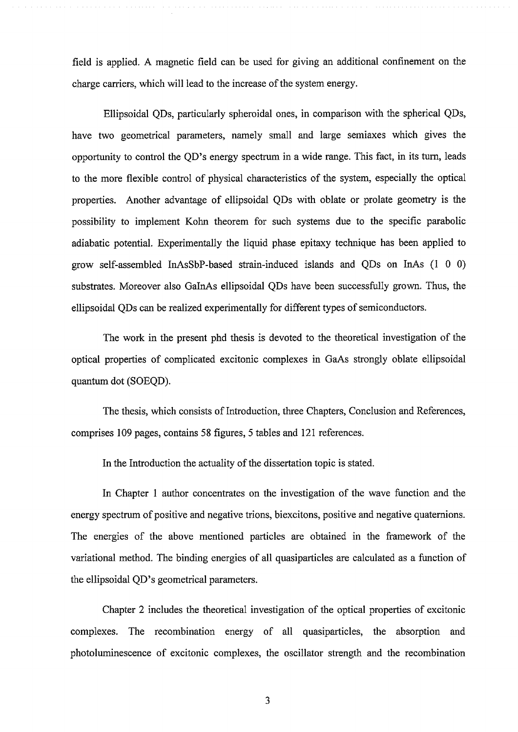field is applied. A magnetic field can be used for giving an additional confinement on the charge carriers, which will lead to the increase of the system energy.

Ellipsoidal QDs, particularly spheroidal ones, in comparison with the spherical QDs, have two geometrical parameters, namely small and large semiaxes which gives the opportunity to control the QD's energy spectrum in a wide range. This fact, in its turn, leads to the more flexible control of physical characteristics of the system, especially the optical properties. Another advantage of ellipsoidal QDs with oblate or prolate geometry is the possibility to implement Kohn theorem for such systems due to the specific parabolic adiabatic potential. Experimentally the liquid phase epitaxy technique has been applied to grow self-assembled InAsSbP-based strain-induced islands and QDs on InAs (1 0 0) substrates. Moreover also GalnAs ellipsoidal QDs have been successfully grown. Thus, the ellipsoidal QDs can be realized experimentally for different types of semiconductors.

The work in the present phd thesis is devoted to the theoretical investigation of the optical properties of complicated excitonic complexes in GaAs strongly oblate ellipsoidal quantum dot (SOEQD).

The thesis, which consists of Introduction, three Chapters, Conclusion and References, comprises 109 pages, contains 58 figures, 5 tables and 121 references.

In the Introduction the actuality of the dissertation topic is stated.

In Chapter 1 author concentrates on the investigation of the wave function and the energy spectrum of positive and negative trions, biexcitons, positive and negative quaternions. The energies of the above mentioned particles are obtained in the framework of the variational method. The binding energies of all quasiparticles are calculated as a function of **the ellipsoidal QD's geometrical parameters.**

Chapter 2 includes the theoretical investigation of the optical properties of excitonic complexes. The recombination energy of all quasiparticles, the absorption and photoluminescence of excitonic complexes, the oscillator strength and the recombination

3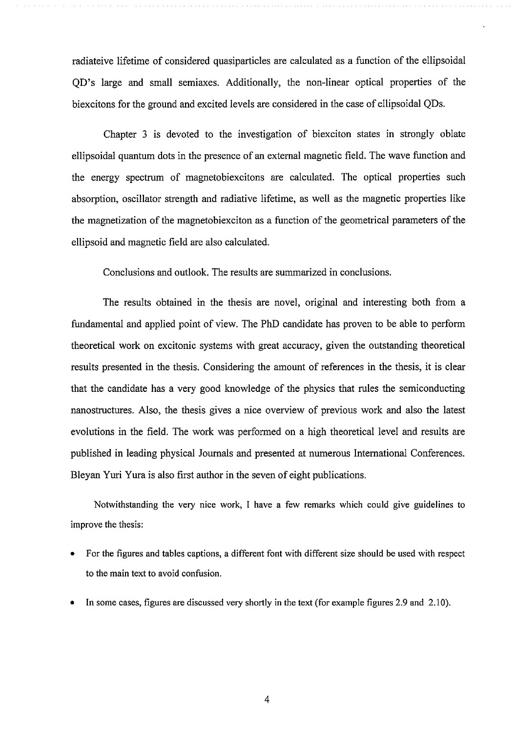radiateive lifetime of considered quasiparticles are calculated as a function of the ellipsoidal QD's large and small semiaxes. Additionally, the non-linear optical properties of the biexcitons for the ground and excited levels are considered in the case of ellipsoidal QDs.

Chapter 3 is devoted to the investigation of biexciton states in strongly oblate ellipsoidal quantum dots in the presence of an external magnetic field. The wave function and the energy spectrum of magnetobiexcitons are calculated. The optical properties such absorption, oscillator strength and radiative lifetime, as well as the magnetic properties like the magnetization of the magnetobiexciton as a function of the geometrical parameters of the ellipsoid and magnetic field are also calculated.

Conclusions and outlook. The results are summarized in conclusions.

The results obtained in the thesis are novel, original and interesting both from a fundamental and applied point of view. The PhD candidate has proven to be able to perform theoretical work on excitonic systems with great accuracy, given the outstanding theoretical results presented in the thesis. Considering the amount of references in the thesis, it is clear that the candidate has a very good knowledge of the physics that rules the semiconducting nanostructures. Also, the thesis gives a nice overview of previous work and also the latest evolutions in the field. The work was performed on a high theoretical level and results are published in leading physical Journals and presented at numerous International Conferences. Bleyan Yuri Yura is also first author in the seven of eight publications.

Notwithstanding the very nice work, I have a few remarks which could give guidelines to improve the thesis:

- For the figures and tables captions, a different font with different size should be used with respect to the main text to avoid confusion.
- In some cases, figures are discussed very shortly in the text (for example figures 2.9 and 2.10).

4